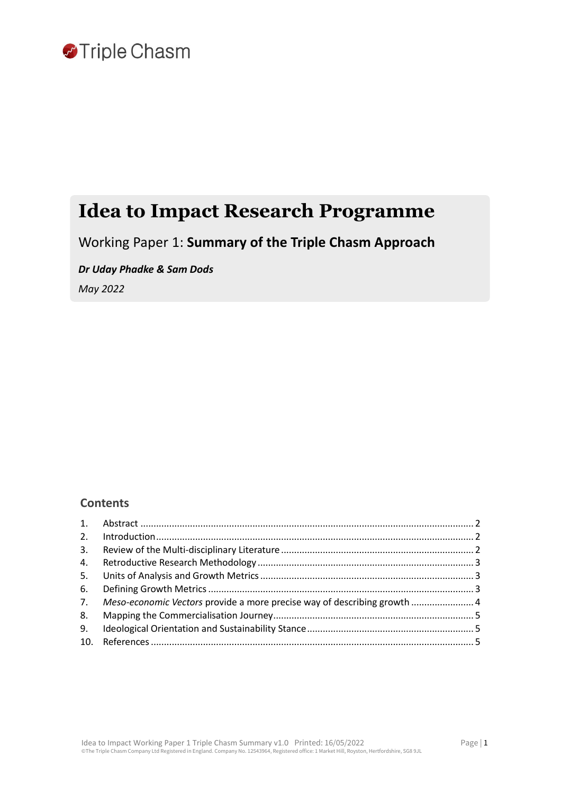

## **Idea to Impact Research Programme**

Working Paper 1: **Summary of the Triple Chasm Approach**

*Dr Uday Phadke & Sam Dods*

*May 2022*

## **Contents**

|    | 7. Meso-economic Vectors provide a more precise way of describing growth  4 |  |
|----|-----------------------------------------------------------------------------|--|
|    |                                                                             |  |
| 9. |                                                                             |  |
|    |                                                                             |  |
|    |                                                                             |  |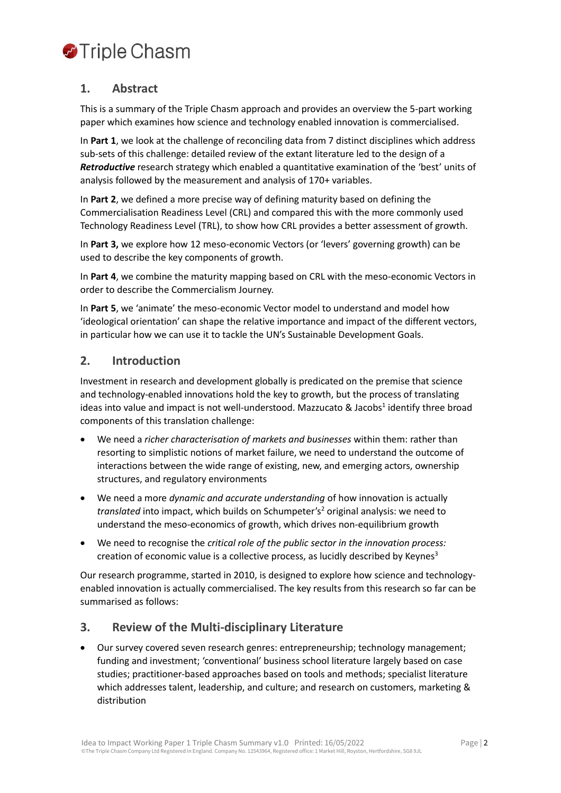# **O**Triple Chasm

## <span id="page-1-0"></span>**1. Abstract**

This is a summary of the Triple Chasm approach and provides an overview the 5-part working paper which examines how science and technology enabled innovation is commercialised.

In **Part 1**, we look at the challenge of reconciling data from 7 distinct disciplines which address sub-sets of this challenge: detailed review of the extant literature led to the design of a *Retroductive* research strategy which enabled a quantitative examination of the 'best' units of analysis followed by the measurement and analysis of 170+ variables.

In **Part 2**, we defined a more precise way of defining maturity based on defining the Commercialisation Readiness Level (CRL) and compared this with the more commonly used Technology Readiness Level (TRL), to show how CRL provides a better assessment of growth.

In **Part 3,** we explore how 12 meso-economic Vectors (or 'levers' governing growth) can be used to describe the key components of growth.

In **Part 4**, we combine the maturity mapping based on CRL with the meso-economic Vectors in order to describe the Commercialism Journey.

In **Part 5**, we 'animate' the meso-economic Vector model to understand and model how 'ideological orientation' can shape the relative importance and impact of the different vectors, in particular how we can use it to tackle the UN's Sustainable Development Goals.

## <span id="page-1-1"></span>**2. Introduction**

Investment in research and development globally is predicated on the premise that science and technology-enabled innovations hold the key to growth, but the process of translating ideas into value and impact is not well-understood. Mazzucato & Jacobs<sup>1</sup> identify three broad components of this translation challenge:

- We need a *richer characterisation of markets and businesses* within them: rather than resorting to simplistic notions of market failure, we need to understand the outcome of interactions between the wide range of existing, new, and emerging actors, ownership structures, and regulatory environments
- We need a more *dynamic and accurate understanding* of how innovation is actually *translated* into impact, which builds on Schumpeter's<sup>2</sup> original analysis: we need to understand the meso-economics of growth, which drives non-equilibrium growth
- We need to recognise the *critical role of the public sector in the innovation process:*  creation of economic value is a collective process, as lucidly described by Keynes $3$

Our research programme, started in 2010, is designed to explore how science and technologyenabled innovation is actually commercialised. The key results from this research so far can be summarised as follows:

## <span id="page-1-2"></span>**3. Review of the Multi-disciplinary Literature**

• Our survey covered seven research genres: entrepreneurship; technology management; funding and investment; 'conventional' business school literature largely based on case studies; practitioner-based approaches based on tools and methods; specialist literature which addresses talent, leadership, and culture; and research on customers, marketing & distribution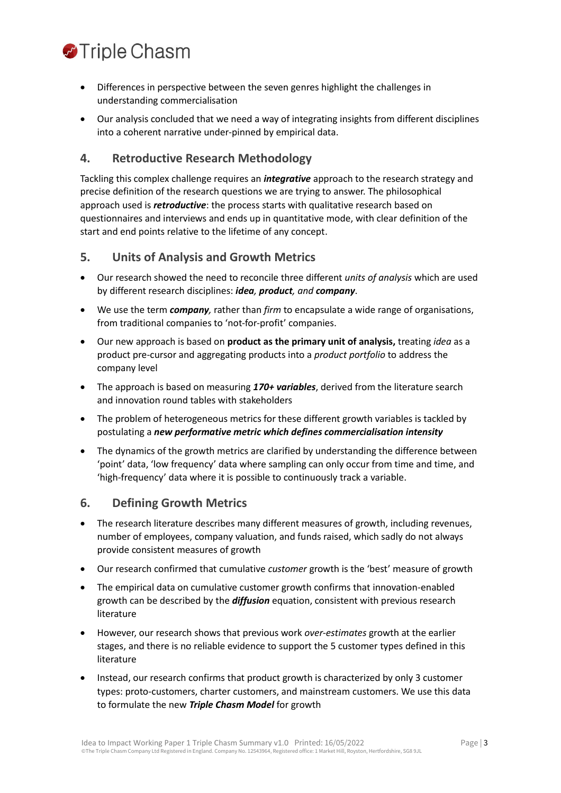

- Differences in perspective between the seven genres highlight the challenges in understanding commercialisation
- Our analysis concluded that we need a way of integrating insights from different disciplines into a coherent narrative under-pinned by empirical data.

### <span id="page-2-0"></span>**4. Retroductive Research Methodology**

Tackling this complex challenge requires an *integrative* approach to the research strategy and precise definition of the research questions we are trying to answer. The philosophical approach used is *retroductive*: the process starts with qualitative research based on questionnaires and interviews and ends up in quantitative mode, with clear definition of the start and end points relative to the lifetime of any concept.

#### <span id="page-2-1"></span>**5. Units of Analysis and Growth Metrics**

- Our research showed the need to reconcile three different *units of analysis* which are used by different research disciplines: *idea, product, and company*.
- We use the term *company,* rather than *firm* to encapsulate a wide range of organisations, from traditional companies to 'not-for-profit' companies.
- Our new approach is based on **product as the primary unit of analysis,** treating *idea* as a product pre-cursor and aggregating products into a *product portfolio* to address the company level
- The approach is based on measuring 170+ variables, derived from the literature search and innovation round tables with stakeholders
- The problem of heterogeneous metrics for these different growth variables is tackled by postulating a *new performative metric which defines commercialisation intensity*
- The dynamics of the growth metrics are clarified by understanding the difference between 'point' data, 'low frequency' data where sampling can only occur from time and time, and 'high-frequency' data where it is possible to continuously track a variable.

#### <span id="page-2-2"></span>**6. Defining Growth Metrics**

- The research literature describes many different measures of growth, including revenues, number of employees, company valuation, and funds raised, which sadly do not always provide consistent measures of growth
- Our research confirmed that cumulative *customer* growth is the 'best' measure of growth
- The empirical data on cumulative customer growth confirms that innovation-enabled growth can be described by the *diffusion* equation, consistent with previous research literature
- However, our research shows that previous work *over-estimates* growth at the earlier stages, and there is no reliable evidence to support the 5 customer types defined in this literature
- Instead, our research confirms that product growth is characterized by only 3 customer types: proto-customers, charter customers, and mainstream customers. We use this data to formulate the new *Triple Chasm Model* for growth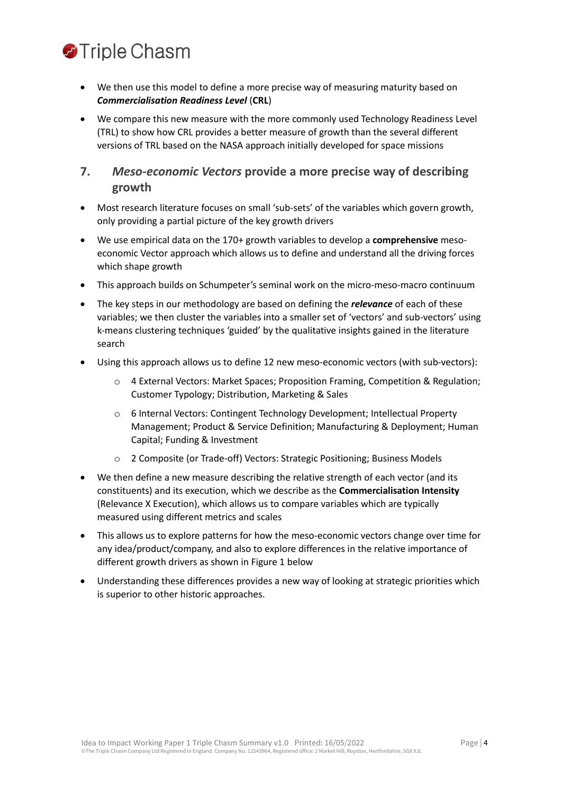

- We then use this model to define a more precise way of measuring maturity based on *Commercialisation Readiness Level* (**CRL**)
- We compare this new measure with the more commonly used Technology Readiness Level (TRL) to show how CRL provides a better measure of growth than the several different versions of TRL based on the NASA approach initially developed for space missions

## <span id="page-3-0"></span>**7.** *Meso-economic Vectors* **provide a more precise way of describing growth**

- Most research literature focuses on small 'sub-sets' of the variables which govern growth, only providing a partial picture of the key growth drivers
- We use empirical data on the 170+ growth variables to develop a **comprehensive** mesoeconomic Vector approach which allows us to define and understand all the driving forces which shape growth
- This approach builds on Schumpeter's seminal work on the micro-meso-macro continuum
- The key steps in our methodology are based on defining the *relevance* of each of these variables; we then cluster the variables into a smaller set of 'vectors' and sub-vectors' using k-means clustering techniques 'guided' by the qualitative insights gained in the literature search
- Using this approach allows us to define 12 new meso-economic vectors (with sub-vectors):
	- o 4 External Vectors: Market Spaces; Proposition Framing, Competition & Regulation; Customer Typology; Distribution, Marketing & Sales
	- o 6 Internal Vectors: Contingent Technology Development; Intellectual Property Management; Product & Service Definition; Manufacturing & Deployment; Human Capital; Funding & Investment
	- o 2 Composite (or Trade-off) Vectors: Strategic Positioning; Business Models
- We then define a new measure describing the relative strength of each vector (and its constituents) and its execution, which we describe as the **Commercialisation Intensity**  (Relevance X Execution), which allows us to compare variables which are typically measured using different metrics and scales
- This allows us to explore patterns for how the meso-economic vectors change over time for any idea/product/company, and also to explore differences in the relative importance of different growth drivers as shown in Figure 1 below
- Understanding these differences provides a new way of looking at strategic priorities which is superior to other historic approaches.